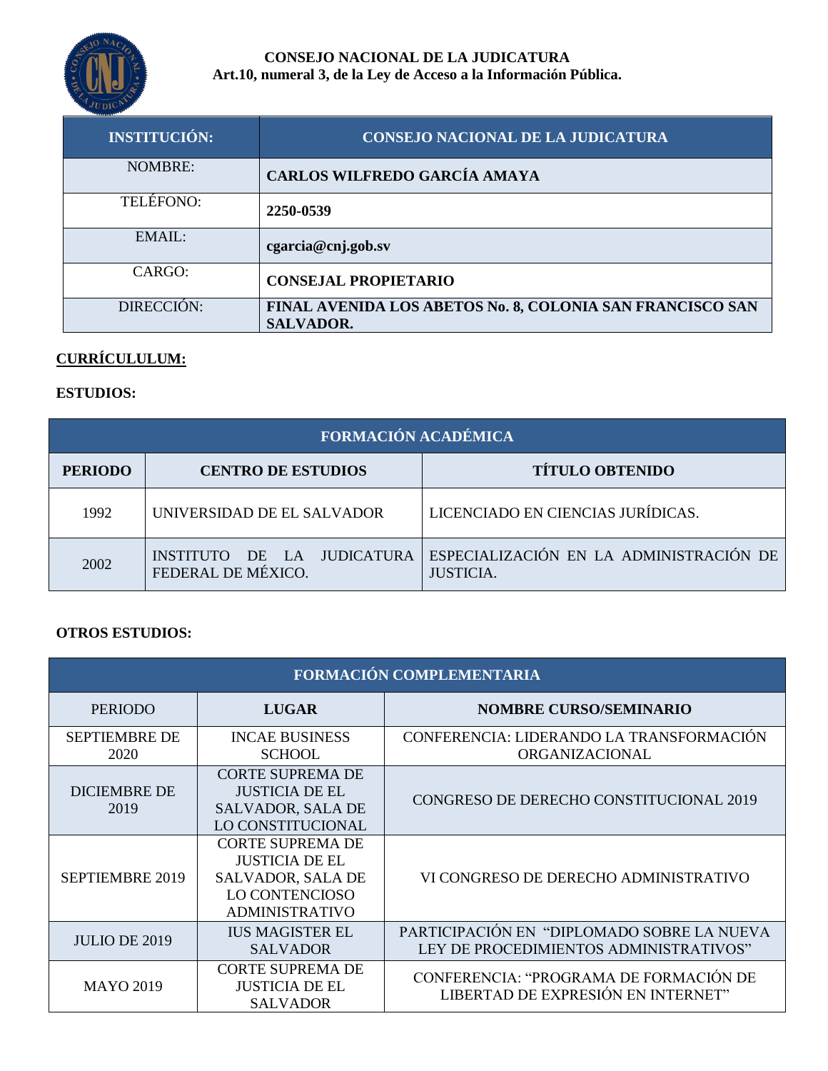

### **CONSEJO NACIONAL DE LA JUDICATURA Art.10, numeral 3, de la Ley de Acceso a la Información Pública.**

| <b>INSTITUCIÓN:</b> | <b>CONSEJO NACIONAL DE LA JUDICATURA</b>                                      |
|---------------------|-------------------------------------------------------------------------------|
| <b>NOMBRE:</b>      | CARLOS WILFREDO GARCÍA AMAYA                                                  |
| TELÉFONO:           | 2250-0539                                                                     |
| $EMAII$ :           | cgarcia@cnj.gob.sv                                                            |
| CARGO:              | <b>CONSEJAL PROPIETARIO</b>                                                   |
| DIRECCIÓN:          | FINAL AVENIDA LOS ABETOS No. 8, COLONIA SAN FRANCISCO SAN<br><b>SALVADOR.</b> |

# **CURRÍCULULUM:**

# **ESTUDIOS:**

| FORMACIÓN ACADÉMICA |                                                  |                                                             |  |
|---------------------|--------------------------------------------------|-------------------------------------------------------------|--|
| <b>PERIODO</b>      | <b>CENTRO DE ESTUDIOS</b>                        | <b>TÍTULO OBTENIDO</b>                                      |  |
| 1992                | UNIVERSIDAD DE EL SALVADOR                       | LICENCIADO EN CIENCIAS JURÍDICAS.                           |  |
| 2002                | INSTITUTO DE LA JUDICATURA<br>FEDERAL DE MÉXICO. | ESPECIALIZACIÓN EN LA ADMINISTRACIÓN DE<br><b>JUSTICIA.</b> |  |

#### **OTROS ESTUDIOS:**

| FORMACIÓN COMPLEMENTARIA     |                                                                                                                  |                                                                                      |
|------------------------------|------------------------------------------------------------------------------------------------------------------|--------------------------------------------------------------------------------------|
| <b>PERIODO</b>               | <b>LUGAR</b>                                                                                                     | <b>NOMBRE CURSO/SEMINARIO</b>                                                        |
| <b>SEPTIEMBRE DE</b><br>2020 | <b>INCAE BUSINESS</b><br><b>SCHOOL</b>                                                                           | CONFERENCIA: LIDERANDO LA TRANSFORMACIÓN<br>ORGANIZACIONAL                           |
| <b>DICIEMBRE DE</b><br>2019  | <b>CORTE SUPREMA DE</b><br><b>JUSTICIA DE EL</b><br>SALVADOR, SALA DE<br>LO CONSTITUCIONAL                       | CONGRESO DE DERECHO CONSTITUCIONAL 2019                                              |
| <b>SEPTIEMBRE 2019</b>       | <b>CORTE SUPREMA DE</b><br><b>JUSTICIA DE EL</b><br>SALVADOR, SALA DE<br>LO CONTENCIOSO<br><b>ADMINISTRATIVO</b> | VI CONGRESO DE DERECHO ADMINISTRATIVO                                                |
| <b>JULIO DE 2019</b>         | <b>IUS MAGISTER EL</b><br><b>SALVADOR</b>                                                                        | PARTICIPACIÓN EN "DIPLOMADO SOBRE LA NUEVA<br>LEY DE PROCEDIMIENTOS ADMINISTRATIVOS" |
| <b>MAYO 2019</b>             | <b>CORTE SUPREMA DE</b><br><b>JUSTICIA DE EL</b><br><b>SALVADOR</b>                                              | CONFERENCIA: "PROGRAMA DE FORMACIÓN DE<br>LIBERTAD DE EXPRESIÓN EN INTERNET"         |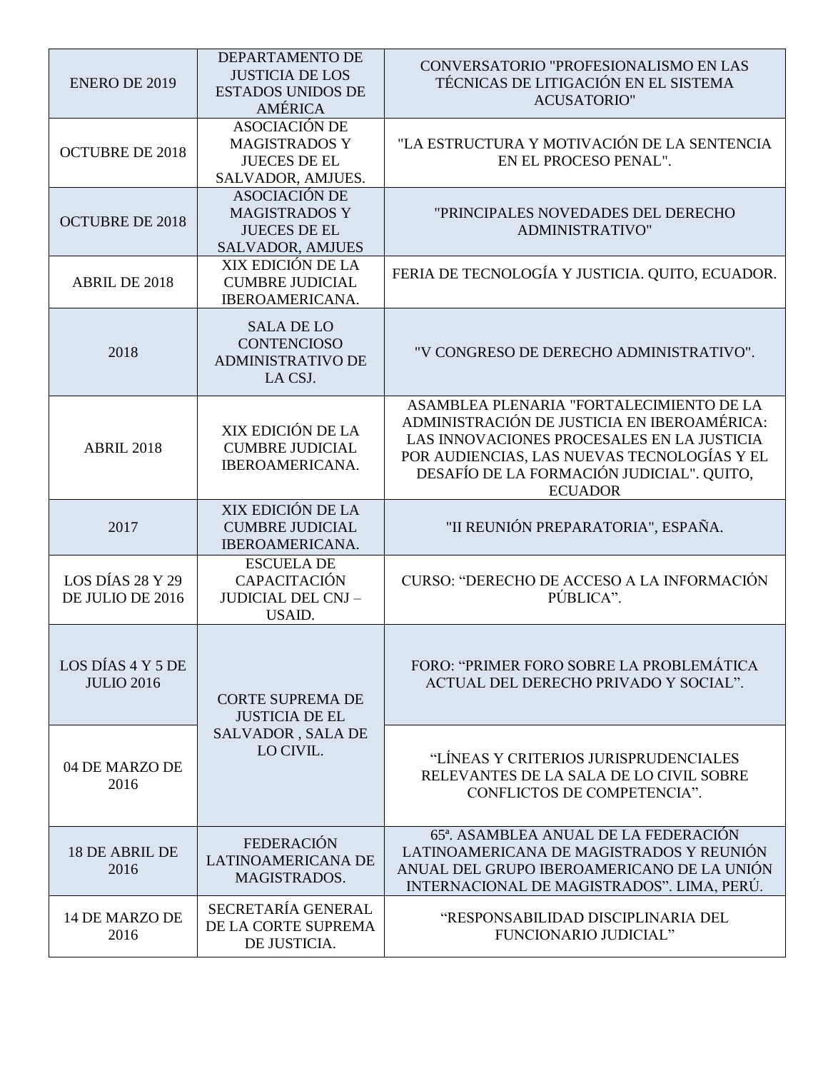| <b>ENERO DE 2019</b>                   | DEPARTAMENTO DE<br><b>JUSTICIA DE LOS</b><br><b>ESTADOS UNIDOS DE</b><br><b>AMÉRICA</b>        | CONVERSATORIO "PROFESIONALISMO EN LAS<br>TÉCNICAS DE LITIGACIÓN EN EL SISTEMA<br><b>ACUSATORIO"</b>                                                                                                                                                 |
|----------------------------------------|------------------------------------------------------------------------------------------------|-----------------------------------------------------------------------------------------------------------------------------------------------------------------------------------------------------------------------------------------------------|
| <b>OCTUBRE DE 2018</b>                 | <b>ASOCIACIÓN DE</b><br><b>MAGISTRADOS Y</b><br><b>JUECES DE EL</b><br>SALVADOR, AMJUES.       | "LA ESTRUCTURA Y MOTIVACIÓN DE LA SENTENCIA<br>EN EL PROCESO PENAL".                                                                                                                                                                                |
| <b>OCTUBRE DE 2018</b>                 | <b>ASOCIACIÓN DE</b><br><b>MAGISTRADOS Y</b><br><b>JUECES DE EL</b><br><b>SALVADOR, AMJUES</b> | "PRINCIPALES NOVEDADES DEL DERECHO<br>ADMINISTRATIVO"                                                                                                                                                                                               |
| <b>ABRIL DE 2018</b>                   | XIX EDICIÓN DE LA<br><b>CUMBRE JUDICIAL</b><br>IBEROAMERICANA.                                 | FERIA DE TECNOLOGÍA Y JUSTICIA. QUITO, ECUADOR.                                                                                                                                                                                                     |
| 2018                                   | <b>SALA DE LO</b><br><b>CONTENCIOSO</b><br><b>ADMINISTRATIVO DE</b><br>LA CSJ.                 | "V CONGRESO DE DERECHO ADMINISTRATIVO".                                                                                                                                                                                                             |
| <b>ABRIL 2018</b>                      | XIX EDICIÓN DE LA<br><b>CUMBRE JUDICIAL</b><br>IBEROAMERICANA.                                 | ASAMBLEA PLENARIA "FORTALECIMIENTO DE LA<br>ADMINISTRACIÓN DE JUSTICIA EN IBEROAMÉRICA:<br>LAS INNOVACIONES PROCESALES EN LA JUSTICIA<br>POR AUDIENCIAS, LAS NUEVAS TECNOLOGÍAS Y EL<br>DESAFÍO DE LA FORMACIÓN JUDICIAL". QUITO,<br><b>ECUADOR</b> |
| 2017                                   | XIX EDICIÓN DE LA<br><b>CUMBRE JUDICIAL</b><br>IBEROAMERICANA.                                 | "II REUNIÓN PREPARATORIA", ESPAÑA.                                                                                                                                                                                                                  |
| LOS DÍAS 28 Y 29<br>DE JULIO DE 2016   | <b>ESCUELA DE</b><br><b>CAPACITACIÓN</b><br><b>JUDICIAL DEL CNJ -</b><br>USAID.                | CURSO: "DERECHO DE ACCESO A LA INFORMACIÓN<br>PÚBLICA".                                                                                                                                                                                             |
| LOS DÍAS 4 Y 5 DE<br><b>JULIO 2016</b> | <b>CORTE SUPREMA DE</b><br><b>JUSTICIA DE EL</b>                                               | FORO: "PRIMER FORO SOBRE LA PROBLEMÁTICA<br>ACTUAL DEL DERECHO PRIVADO Y SOCIAL".                                                                                                                                                                   |
| 04 DE MARZO DE<br>2016                 | <b>SALVADOR, SALA DE</b><br>LO CIVIL.                                                          | "LÍNEAS Y CRITERIOS JURISPRUDENCIALES<br>RELEVANTES DE LA SALA DE LO CIVIL SOBRE<br>CONFLICTOS DE COMPETENCIA".                                                                                                                                     |
| <b>18 DE ABRIL DE</b><br>2016          | <b>FEDERACIÓN</b><br><b>LATINOAMERICANA DE</b><br>MAGISTRADOS.                                 | 65 <sup>a</sup> . ASAMBLEA ANUAL DE LA FEDERACIÓN<br>LATINOAMERICANA DE MAGISTRADOS Y REUNIÓN<br>ANUAL DEL GRUPO IBEROAMERICANO DE LA UNIÓN<br>INTERNACIONAL DE MAGISTRADOS". LIMA, PERÚ.                                                           |
| 14 DE MARZO DE<br>2016                 | SECRETARÍA GENERAL<br>DE LA CORTE SUPREMA<br>DE JUSTICIA.                                      | "RESPONSABILIDAD DISCIPLINARIA DEL<br>FUNCIONARIO JUDICIAL"                                                                                                                                                                                         |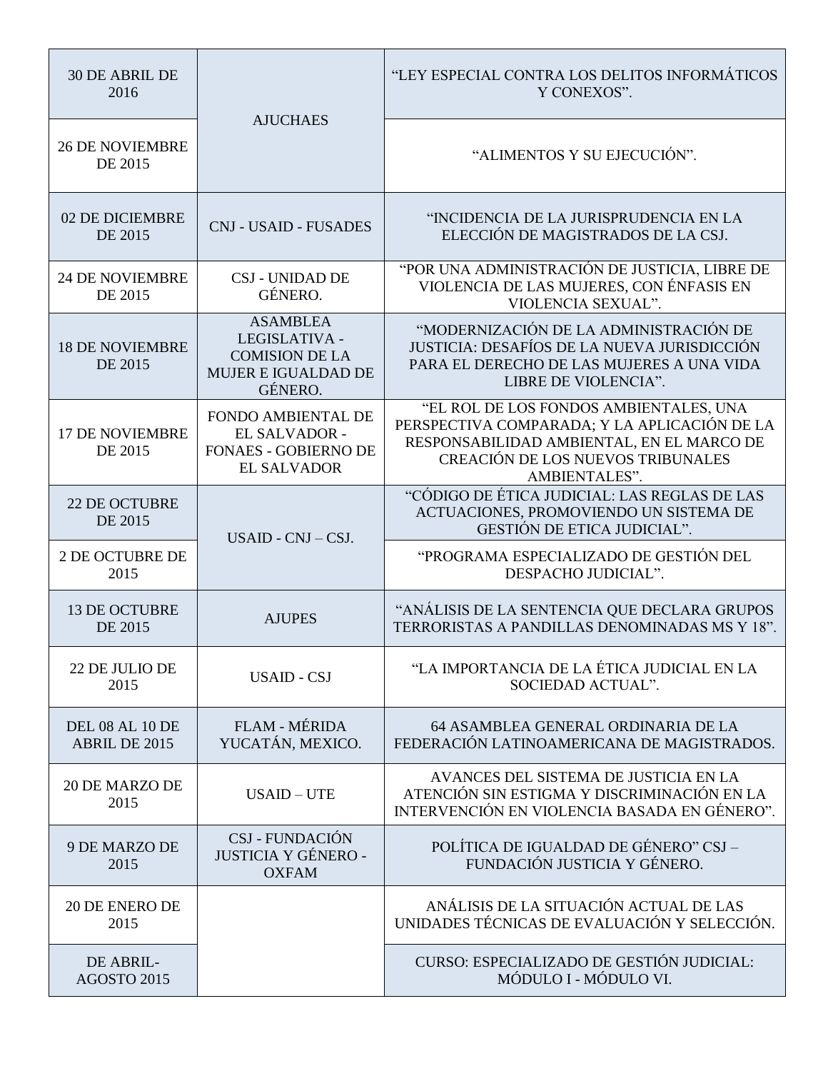| <b>30 DE ABRIL DE</b><br>2016     | <b>AJUCHAES</b>                                                                                    | "LEY ESPECIAL CONTRA LOS DELITOS INFORMÁTICOS<br>Y CONEXOS".                                                                                                                                     |
|-----------------------------------|----------------------------------------------------------------------------------------------------|--------------------------------------------------------------------------------------------------------------------------------------------------------------------------------------------------|
| <b>26 DE NOVIEMBRE</b><br>DE 2015 |                                                                                                    | "ALIMENTOS Y SU EJECUCIÓN".                                                                                                                                                                      |
| 02 DE DICIEMBRE<br>DE 2015        | <b>CNJ - USAID - FUSADES</b>                                                                       | "INCIDENCIA DE LA JURISPRUDENCIA EN LA<br>ELECCIÓN DE MAGISTRADOS DE LA CSJ.                                                                                                                     |
| <b>24 DE NOVIEMBRE</b><br>DE 2015 | <b>CSJ - UNIDAD DE</b><br>GÉNERO.                                                                  | "POR UNA ADMINISTRACIÓN DE JUSTICIA, LIBRE DE<br>VIOLENCIA DE LAS MUJERES, CON ÉNFASIS EN<br>VIOLENCIA SEXUAL".                                                                                  |
| <b>18 DE NOVIEMBRE</b><br>DE 2015 | <b>ASAMBLEA</b><br>LEGISLATIVA -<br><b>COMISION DE LA</b><br><b>MUJER E IGUALDAD DE</b><br>GÉNERO. | "MODERNIZACIÓN DE LA ADMINISTRACIÓN DE<br>JUSTICIA: DESAFÍOS DE LA NUEVA JURISDICCIÓN<br>PARA EL DERECHO DE LAS MUJERES A UNA VIDA<br>LIBRE DE VIOLENCIA".                                       |
| <b>17 DE NOVIEMBRE</b><br>DE 2015 | <b>FONDO AMBIENTAL DE</b><br>EL SALVADOR -<br><b>FONAES - GOBIERNO DE</b><br><b>EL SALVADOR</b>    | "EL ROL DE LOS FONDOS AMBIENTALES, UNA<br>PERSPECTIVA COMPARADA; Y LA APLICACIÓN DE LA<br>RESPONSABILIDAD AMBIENTAL, EN EL MARCO DE<br>CREACIÓN DE LOS NUEVOS TRIBUNALES<br><b>AMBIENTALES".</b> |
| <b>22 DE OCTUBRE</b><br>DE 2015   | $USAID - CNJ - CSJ.$                                                                               | "CÓDIGO DE ÉTICA JUDICIAL: LAS REGLAS DE LAS<br>ACTUACIONES, PROMOVIENDO UN SISTEMA DE<br><b>GESTIÓN DE ETICA JUDICIAL".</b>                                                                     |
| <b>2 DE OCTUBRE DE</b><br>2015    |                                                                                                    | "PROGRAMA ESPECIALIZADO DE GESTIÓN DEL<br>DESPACHO JUDICIAL".                                                                                                                                    |
| <b>13 DE OCTUBRE</b><br>DE 2015   | <b>AJUPES</b>                                                                                      | "ANÁLISIS DE LA SENTENCIA QUE DECLARA GRUPOS<br>TERRORISTAS A PANDILLAS DENOMINADAS MS Y 18".                                                                                                    |
| 22 DE JULIO DE<br>2015            | <b>USAID - CSJ</b>                                                                                 | "LA IMPORTANCIA DE LA ÉTICA JUDICIAL EN LA<br>SOCIEDAD ACTUAL".                                                                                                                                  |
| DEL 08 AL 10 DE<br>ABRIL DE 2015  | <b>FLAM - MÉRIDA</b><br>YUCATÁN, MEXICO.                                                           | 64 ASAMBLEA GENERAL ORDINARIA DE LA<br>FEDERACIÓN LATINOAMERICANA DE MAGISTRADOS.                                                                                                                |
| 20 DE MARZO DE<br>2015            | $USAID - UTE$                                                                                      | AVANCES DEL SISTEMA DE JUSTICIA EN LA<br>ATENCIÓN SIN ESTIGMA Y DISCRIMINACIÓN EN LA<br>INTERVENCIÓN EN VIOLENCIA BASADA EN GÉNERO".                                                             |
| 9 DE MARZO DE<br>2015             | CSJ - FUNDACIÓN<br><b>JUSTICIA Y GÉNERO -</b><br><b>OXFAM</b>                                      | POLÍTICA DE IGUALDAD DE GÉNERO" CSJ-<br>FUNDACIÓN JUSTICIA Y GÉNERO.                                                                                                                             |
| 20 DE ENERO DE<br>2015            |                                                                                                    | ANÁLISIS DE LA SITUACIÓN ACTUAL DE LAS<br>UNIDADES TÉCNICAS DE EVALUACIÓN Y SELECCIÓN.                                                                                                           |
| DE ABRIL-<br>AGOSTO 2015          |                                                                                                    | CURSO: ESPECIALIZADO DE GESTIÓN JUDICIAL:<br>MÓDULO I - MÓDULO VI.                                                                                                                               |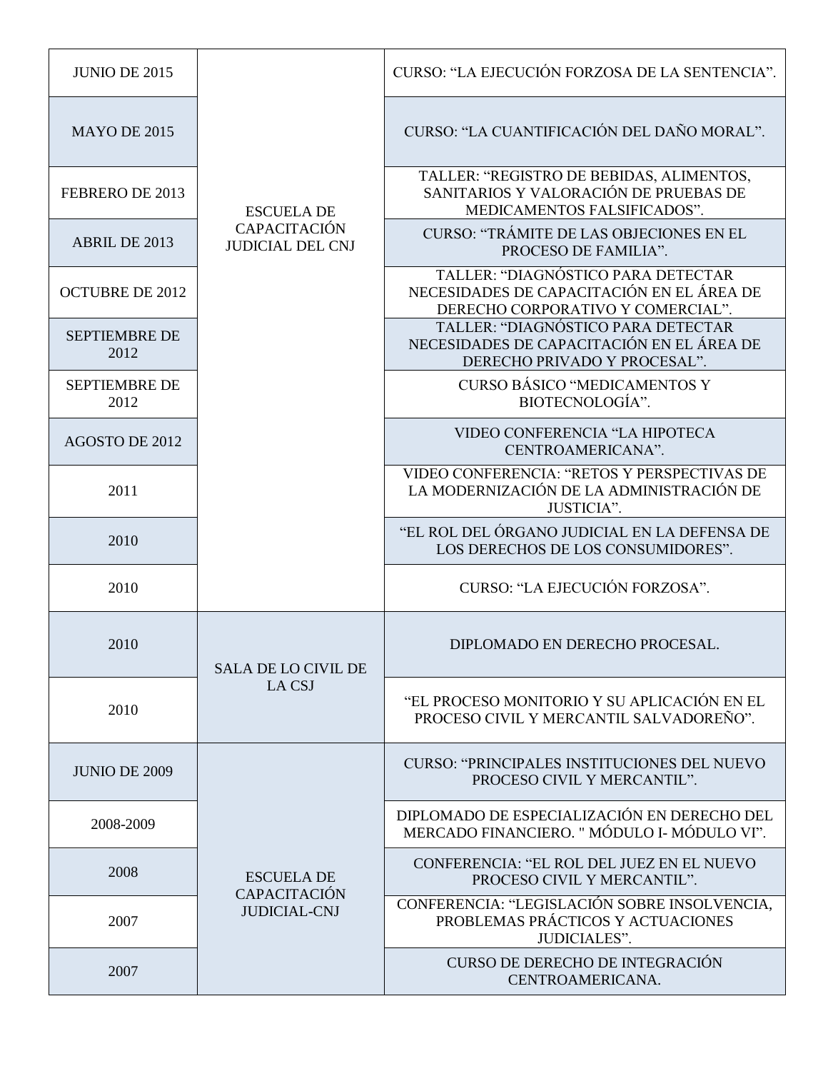| <b>JUNIO DE 2015</b>         |                                                | CURSO: "LA EJECUCIÓN FORZOSA DE LA SENTENCIA".                                                                       |
|------------------------------|------------------------------------------------|----------------------------------------------------------------------------------------------------------------------|
| <b>MAYO DE 2015</b>          |                                                | CURSO: "LA CUANTIFICACIÓN DEL DAÑO MORAL".                                                                           |
| FEBRERO DE 2013              | <b>ESCUELA DE</b>                              | TALLER: "REGISTRO DE BEBIDAS, ALIMENTOS,<br>SANITARIOS Y VALORACIÓN DE PRUEBAS DE<br>MEDICAMENTOS FALSIFICADOS".     |
| ABRIL DE 2013                | <b>CAPACITACIÓN</b><br><b>JUDICIAL DEL CNJ</b> | CURSO: "TRÁMITE DE LAS OBJECIONES EN EL<br>PROCESO DE FAMILIA".                                                      |
| <b>OCTUBRE DE 2012</b>       |                                                | TALLER: "DIAGNÓSTICO PARA DETECTAR<br>NECESIDADES DE CAPACITACIÓN EN EL ÁREA DE<br>DERECHO CORPORATIVO Y COMERCIAL". |
| <b>SEPTIEMBRE DE</b><br>2012 |                                                | TALLER: "DIAGNÓSTICO PARA DETECTAR<br>NECESIDADES DE CAPACITACIÓN EN EL ÁREA DE<br>DERECHO PRIVADO Y PROCESAL".      |
| <b>SEPTIEMBRE DE</b><br>2012 |                                                | <b>CURSO BÁSICO "MEDICAMENTOS Y</b><br>BIOTECNOLOGÍA".                                                               |
| AGOSTO DE 2012               |                                                | VIDEO CONFERENCIA "LA HIPOTECA<br>CENTROAMERICANA".                                                                  |
| 2011                         |                                                | VIDEO CONFERENCIA: "RETOS Y PERSPECTIVAS DE<br>LA MODERNIZACIÓN DE LA ADMINISTRACIÓN DE<br>JUSTICIA".                |
| 2010                         |                                                | "EL ROL DEL ÓRGANO JUDICIAL EN LA DEFENSA DE<br>LOS DERECHOS DE LOS CONSUMIDORES".                                   |
| 2010                         |                                                | CURSO: "LA EJECUCIÓN FORZOSA".                                                                                       |
| 2010                         | <b>SALA DE LO CIVIL DE</b>                     | DIPLOMADO EN DERECHO PROCESAL.                                                                                       |
| 2010                         | LA CSJ                                         | "EL PROCESO MONITORIO Y SU APLICACIÓN EN EL<br>PROCESO CIVIL Y MERCANTIL SALVADOREÑO".                               |
| <b>JUNIO DE 2009</b>         |                                                | <b>CURSO: "PRINCIPALES INSTITUCIONES DEL NUEVO</b><br>PROCESO CIVIL Y MERCANTIL".                                    |
| 2008-2009                    |                                                | DIPLOMADO DE ESPECIALIZACIÓN EN DERECHO DEL<br>MERCADO FINANCIERO. " MÓDULO I- MÓDULO VI".                           |
| 2008                         | <b>ESCUELA DE</b><br><b>CAPACITACIÓN</b>       | CONFERENCIA: "EL ROL DEL JUEZ EN EL NUEVO<br>PROCESO CIVIL Y MERCANTIL".                                             |
| 2007                         | <b>JUDICIAL-CNJ</b>                            | CONFERENCIA: "LEGISLACIÓN SOBRE INSOLVENCIA,<br>PROBLEMAS PRÁCTICOS Y ACTUACIONES<br><b>JUDICIALES".</b>             |
| 2007                         |                                                | CURSO DE DERECHO DE INTEGRACIÓN<br>CENTROAMERICANA.                                                                  |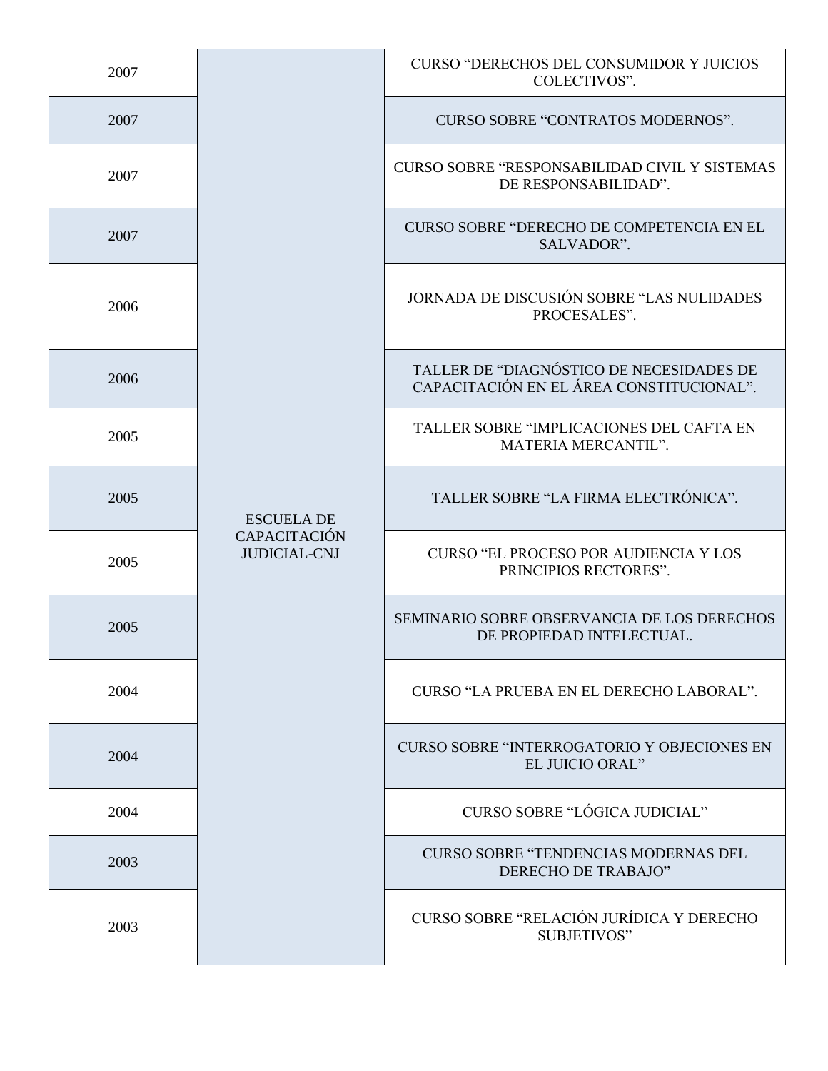| 2007 |                                                                 | <b>CURSO "DERECHOS DEL CONSUMIDOR Y JUICIOS</b><br>COLECTIVOS".                      |
|------|-----------------------------------------------------------------|--------------------------------------------------------------------------------------|
| 2007 |                                                                 | <b>CURSO SOBRE "CONTRATOS MODERNOS".</b>                                             |
| 2007 |                                                                 | CURSO SOBRE "RESPONSABILIDAD CIVIL Y SISTEMAS<br>DE RESPONSABILIDAD".                |
| 2007 |                                                                 | <b>CURSO SOBRE "DERECHO DE COMPETENCIA EN EL</b><br>SALVADOR".                       |
| 2006 |                                                                 | JORNADA DE DISCUSIÓN SOBRE "LAS NULIDADES<br>PROCESALES".                            |
| 2006 |                                                                 | TALLER DE "DIAGNÓSTICO DE NECESIDADES DE<br>CAPACITACIÓN EN EL ÁREA CONSTITUCIONAL". |
| 2005 |                                                                 | TALLER SOBRE "IMPLICACIONES DEL CAFTA EN<br>MATERIA MERCANTIL".                      |
| 2005 | <b>ESCUELA DE</b><br><b>CAPACITACIÓN</b><br><b>JUDICIAL-CNJ</b> | TALLER SOBRE "LA FIRMA ELECTRÓNICA".                                                 |
| 2005 |                                                                 | <b>CURSO "EL PROCESO POR AUDIENCIA Y LOS</b><br>PRINCIPIOS RECTORES".                |
| 2005 |                                                                 | SEMINARIO SOBRE OBSERVANCIA DE LOS DERECHOS<br>DE PROPIEDAD INTELECTUAL.             |
| 2004 |                                                                 | CURSO "LA PRUEBA EN EL DERECHO LABORAL".                                             |
| 2004 |                                                                 | <b>CURSO SOBRE "INTERROGATORIO Y OBJECIONES EN</b><br>EL JUICIO ORAL"                |
| 2004 |                                                                 | CURSO SOBRE "LÓGICA JUDICIAL"                                                        |
| 2003 |                                                                 | <b>CURSO SOBRE "TENDENCIAS MODERNAS DEL</b><br>DERECHO DE TRABAJO"                   |
| 2003 |                                                                 | CURSO SOBRE "RELACIÓN JURÍDICA Y DERECHO<br><b>SUBJETIVOS"</b>                       |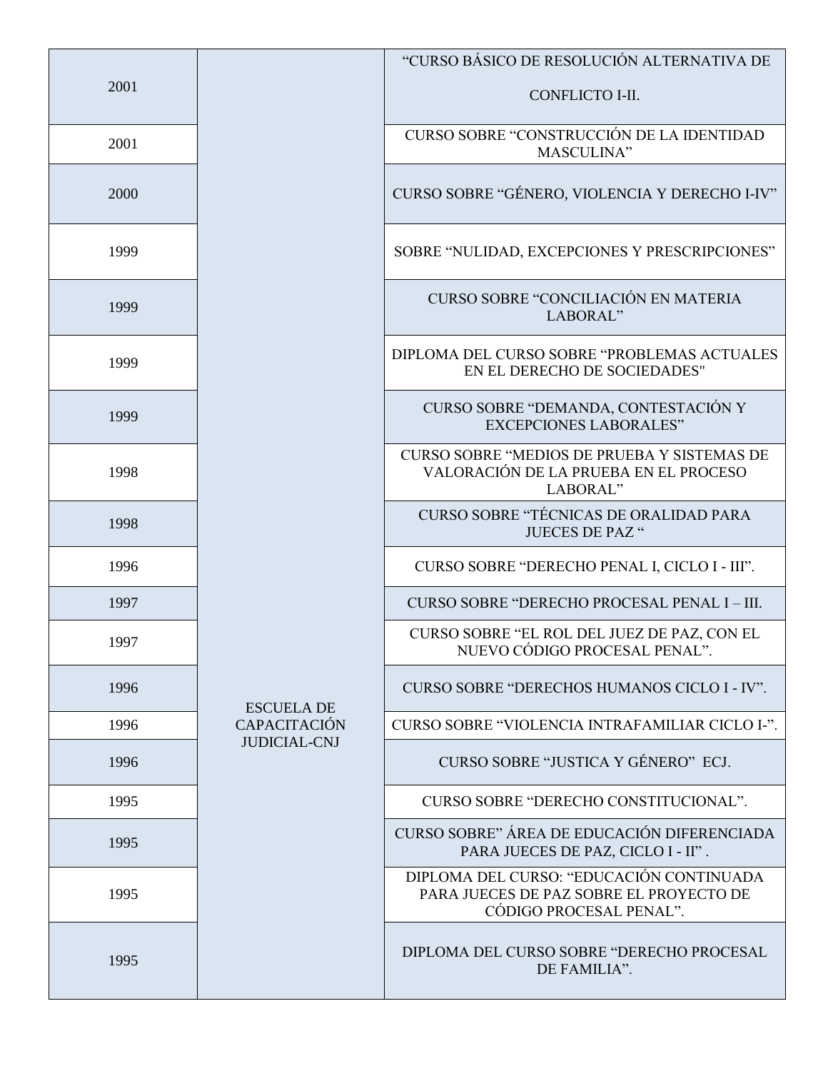|      |                                            | "CURSO BÁSICO DE RESOLUCIÓN ALTERNATIVA DE                                                                     |
|------|--------------------------------------------|----------------------------------------------------------------------------------------------------------------|
| 2001 |                                            | CONFLICTO I-II.                                                                                                |
| 2001 |                                            | CURSO SOBRE "CONSTRUCCIÓN DE LA IDENTIDAD<br>MASCULINA"                                                        |
| 2000 |                                            | CURSO SOBRE "GÉNERO, VIOLENCIA Y DERECHO I-IV"                                                                 |
| 1999 |                                            | SOBRE "NULIDAD, EXCEPCIONES Y PRESCRIPCIONES"                                                                  |
| 1999 |                                            | <b>CURSO SOBRE "CONCILIACIÓN EN MATERIA</b><br>LABORAL"                                                        |
| 1999 |                                            | DIPLOMA DEL CURSO SOBRE "PROBLEMAS ACTUALES<br>EN EL DERECHO DE SOCIEDADES"                                    |
| 1999 |                                            | CURSO SOBRE "DEMANDA, CONTESTACIÓN Y<br><b>EXCEPCIONES LABORALES"</b>                                          |
| 1998 |                                            | CURSO SOBRE "MEDIOS DE PRUEBA Y SISTEMAS DE<br>VALORACIÓN DE LA PRUEBA EN EL PROCESO<br>LABORAL"               |
| 1998 |                                            | CURSO SOBRE "TÉCNICAS DE ORALIDAD PARA<br><b>JUECES DE PAZ "</b>                                               |
| 1996 |                                            | CURSO SOBRE "DERECHO PENAL I, CICLO I - III".                                                                  |
| 1997 |                                            | CURSO SOBRE "DERECHO PROCESAL PENAL I - III.                                                                   |
| 1997 |                                            | CURSO SOBRE "EL ROL DEL JUEZ DE PAZ, CON EL<br>NUEVO CÓDIGO PROCESAL PENAL"                                    |
| 1996 | <b>ESCUELA DE</b>                          | CURSO SOBRE "DERECHOS HUMANOS CICLO I - IV".                                                                   |
| 1996 | <b>CAPACITACIÓN</b><br><b>JUDICIAL-CNJ</b> | CURSO SOBRE "VIOLENCIA INTRAFAMILIAR CICLO I-".                                                                |
| 1996 |                                            | CURSO SOBRE "JUSTICA Y GÉNERO" ECJ.                                                                            |
| 1995 |                                            | CURSO SOBRE "DERECHO CONSTITUCIONAL".                                                                          |
| 1995 |                                            | CURSO SOBRE" ÁREA DE EDUCACIÓN DIFERENCIADA<br>PARA JUECES DE PAZ, CICLO I - II".                              |
| 1995 |                                            | DIPLOMA DEL CURSO: "EDUCACIÓN CONTINUADA<br>PARA JUECES DE PAZ SOBRE EL PROYECTO DE<br>CÓDIGO PROCESAL PENAL". |
| 1995 |                                            | DIPLOMA DEL CURSO SOBRE "DERECHO PROCESAL<br>DE FAMILIA".                                                      |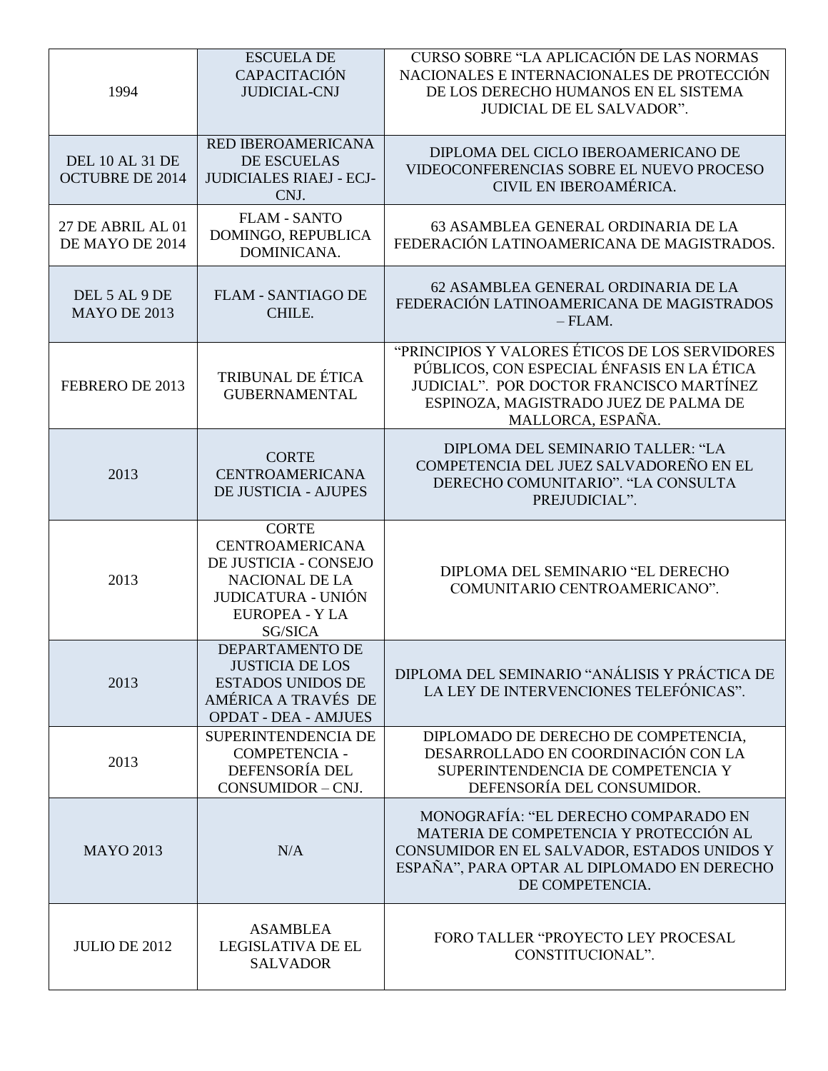| 1994                                             | <b>ESCUELA DE</b><br><b>CAPACITACIÓN</b><br><b>JUDICIAL-CNJ</b>                                                                                | <b>CURSO SOBRE "LA APLICACIÓN DE LAS NORMAS</b><br>NACIONALES E INTERNACIONALES DE PROTECCIÓN<br>DE LOS DERECHO HUMANOS EN EL SISTEMA<br><b>JUDICIAL DE EL SALVADOR".</b>                              |
|--------------------------------------------------|------------------------------------------------------------------------------------------------------------------------------------------------|--------------------------------------------------------------------------------------------------------------------------------------------------------------------------------------------------------|
| <b>DEL 10 AL 31 DE</b><br><b>OCTUBRE DE 2014</b> | <b>RED IBEROAMERICANA</b><br><b>DE ESCUELAS</b><br><b>JUDICIALES RIAEJ - ECJ-</b><br>CNJ.                                                      | DIPLOMA DEL CICLO IBEROAMERICANO DE<br>VIDEOCONFERENCIAS SOBRE EL NUEVO PROCESO<br>CIVIL EN IBEROAMÉRICA.                                                                                              |
| 27 DE ABRIL AL 01<br>DE MAYO DE 2014             | <b>FLAM - SANTO</b><br>DOMINGO, REPUBLICA<br>DOMINICANA.                                                                                       | 63 ASAMBLEA GENERAL ORDINARIA DE LA<br>FEDERACIÓN LATINOAMERICANA DE MAGISTRADOS.                                                                                                                      |
| DEL 5 AL 9 DE<br><b>MAYO DE 2013</b>             | <b>FLAM - SANTIAGO DE</b><br>CHILE.                                                                                                            | 62 ASAMBLEA GENERAL ORDINARIA DE LA<br>FEDERACIÓN LATINOAMERICANA DE MAGISTRADOS<br>$-$ FLAM.                                                                                                          |
| FEBRERO DE 2013                                  | TRIBUNAL DE ÉTICA<br><b>GUBERNAMENTAL</b>                                                                                                      | "PRINCIPIOS Y VALORES ÉTICOS DE LOS SERVIDORES<br>PÚBLICOS, CON ESPECIAL ÉNFASIS EN LA ÉTICA<br>JUDICIAL". POR DOCTOR FRANCISCO MARTÍNEZ<br>ESPINOZA, MAGISTRADO JUEZ DE PALMA DE<br>MALLORCA, ESPAÑA. |
| 2013                                             | <b>CORTE</b><br><b>CENTROAMERICANA</b><br><b>DE JUSTICIA - AJUPES</b>                                                                          | DIPLOMA DEL SEMINARIO TALLER: "LA<br>COMPETENCIA DEL JUEZ SALVADOREÑO EN EL<br>DERECHO COMUNITARIO". "LA CONSULTA<br>PREJUDICIAL".                                                                     |
| 2013                                             | <b>CORTE</b><br><b>CENTROAMERICANA</b><br>DE JUSTICIA - CONSEJO<br><b>NACIONAL DE LA</b><br><b>JUDICATURA - UNIÓN</b><br><b>EUROPEA - Y LA</b> | DIPLOMA DEL SEMINARIO "EL DERECHO<br>COMUNITARIO CENTROAMERICANO".                                                                                                                                     |
|                                                  | SG/SICA                                                                                                                                        |                                                                                                                                                                                                        |
| 2013                                             | DEPARTAMENTO DE<br><b>JUSTICIA DE LOS</b><br><b>ESTADOS UNIDOS DE</b><br>AMÉRICA A TRAVÉS DE<br><b>OPDAT - DEA - AMJUES</b>                    | DIPLOMA DEL SEMINARIO "ANÁLISIS Y PRÁCTICA DE<br>LA LEY DE INTERVENCIONES TELEFÓNICAS".                                                                                                                |
| 2013                                             | SUPERINTENDENCIA DE<br><b>COMPETENCIA -</b><br>DEFENSORÍA DEL<br>CONSUMIDOR - CNJ.                                                             | DIPLOMADO DE DERECHO DE COMPETENCIA,<br>DESARROLLADO EN COORDINACIÓN CON LA<br>SUPERINTENDENCIA DE COMPETENCIA Y<br>DEFENSORÍA DEL CONSUMIDOR.                                                         |
| <b>MAYO 2013</b>                                 | N/A                                                                                                                                            | MONOGRAFÍA: "EL DERECHO COMPARADO EN<br>MATERIA DE COMPETENCIA Y PROTECCIÓN AL<br>CONSUMIDOR EN EL SALVADOR, ESTADOS UNIDOS Y<br>ESPAÑA", PARA OPTAR AL DIPLOMADO EN DERECHO<br>DE COMPETENCIA.        |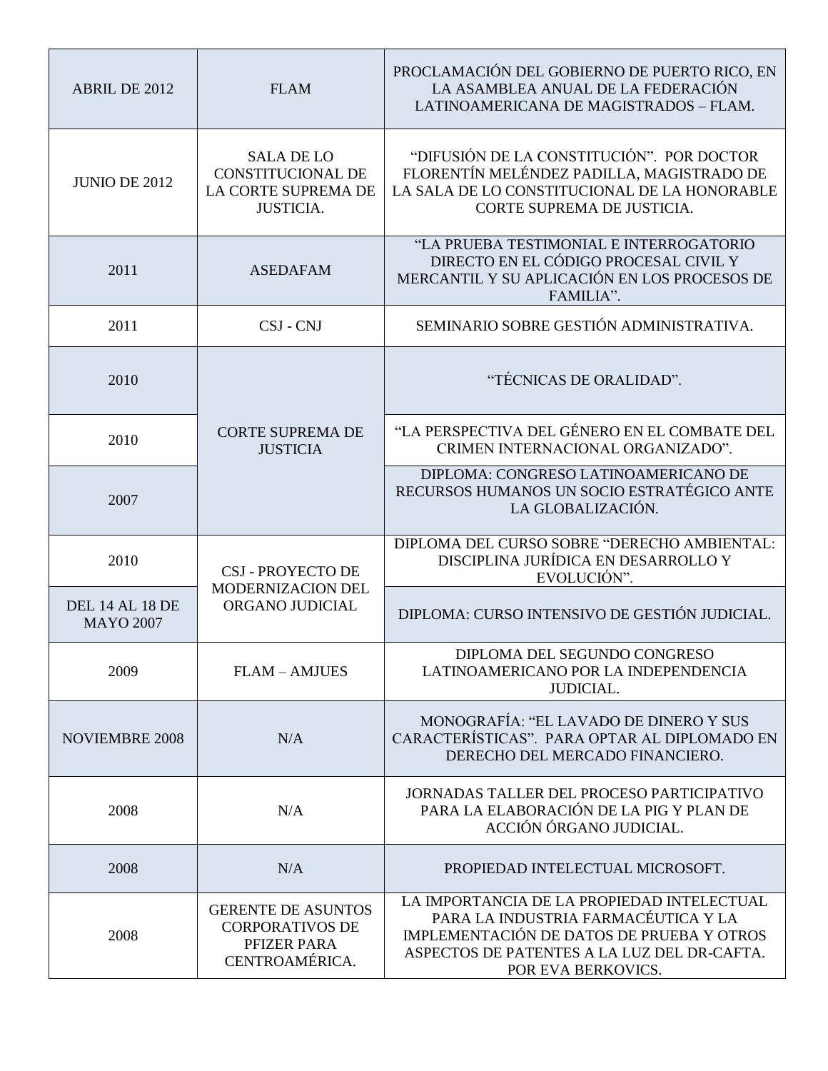| ABRIL DE 2012                              | <b>FLAM</b>                                                                              | PROCLAMACIÓN DEL GOBIERNO DE PUERTO RICO, EN<br>LA ASAMBLEA ANUAL DE LA FEDERACIÓN<br>LATINOAMERICANA DE MAGISTRADOS - FLAM.                                                                        |
|--------------------------------------------|------------------------------------------------------------------------------------------|-----------------------------------------------------------------------------------------------------------------------------------------------------------------------------------------------------|
| <b>JUNIO DE 2012</b>                       | <b>SALA DE LO</b><br><b>CONSTITUCIONAL DE</b><br>LA CORTE SUPREMA DE<br><b>JUSTICIA.</b> | "DIFUSIÓN DE LA CONSTITUCIÓN". POR DOCTOR<br>FLORENTÍN MELÉNDEZ PADILLA, MAGISTRADO DE<br>LA SALA DE LO CONSTITUCIONAL DE LA HONORABLE<br>CORTE SUPREMA DE JUSTICIA.                                |
| 2011                                       | <b>ASEDAFAM</b>                                                                          | "LA PRUEBA TESTIMONIAL E INTERROGATORIO<br>DIRECTO EN EL CÓDIGO PROCESAL CIVIL Y<br>MERCANTIL Y SU APLICACIÓN EN LOS PROCESOS DE<br>FAMILIA".                                                       |
| 2011                                       | CSJ - CNJ                                                                                | SEMINARIO SOBRE GESTIÓN ADMINISTRATIVA.                                                                                                                                                             |
| 2010                                       |                                                                                          | "TÉCNICAS DE ORALIDAD".                                                                                                                                                                             |
| 2010                                       | <b>CORTE SUPREMA DE</b><br><b>JUSTICIA</b>                                               | "LA PERSPECTIVA DEL GÉNERO EN EL COMBATE DEL<br>CRIMEN INTERNACIONAL ORGANIZADO".                                                                                                                   |
| 2007                                       |                                                                                          | DIPLOMA: CONGRESO LATINOAMERICANO DE<br>RECURSOS HUMANOS UN SOCIO ESTRATÉGICO ANTE<br>LA GLOBALIZACIÓN.                                                                                             |
| 2010                                       | <b>CSJ - PROYECTO DE</b><br>MODERNIZACION DEL<br>ORGANO JUDICIAL                         | DIPLOMA DEL CURSO SOBRE "DERECHO AMBIENTAL:<br>DISCIPLINA JURÍDICA EN DESARROLLO Y<br>EVOLUCIÓN".                                                                                                   |
| <b>DEL 14 AL 18 DE</b><br><b>MAYO 2007</b> |                                                                                          | DIPLOMA: CURSO INTENSIVO DE GESTIÓN JUDICIAL.                                                                                                                                                       |
| 2009                                       | <b>FLAM - AMJUES</b>                                                                     | DIPLOMA DEL SEGUNDO CONGRESO<br>LATINOAMERICANO POR LA INDEPENDENCIA<br><b>JUDICIAL.</b>                                                                                                            |
| <b>NOVIEMBRE 2008</b>                      | N/A                                                                                      | MONOGRAFÍA: "EL LAVADO DE DINERO Y SUS<br>CARACTERÍSTICAS". PARA OPTAR AL DIPLOMADO EN<br>DERECHO DEL MERCADO FINANCIERO.                                                                           |
| 2008                                       | N/A                                                                                      | <b>JORNADAS TALLER DEL PROCESO PARTICIPATIVO</b><br>PARA LA ELABORACIÓN DE LA PIG Y PLAN DE<br>ACCIÓN ÓRGANO JUDICIAL.                                                                              |
| 2008                                       | N/A                                                                                      | PROPIEDAD INTELECTUAL MICROSOFT.                                                                                                                                                                    |
| 2008                                       | <b>GERENTE DE ASUNTOS</b><br><b>CORPORATIVOS DE</b><br>PFIZER PARA<br>CENTROAMÉRICA.     | LA IMPORTANCIA DE LA PROPIEDAD INTELECTUAL<br>PARA LA INDUSTRIA FARMACÉUTICA Y LA<br>IMPLEMENTACIÓN DE DATOS DE PRUEBA Y OTROS<br>ASPECTOS DE PATENTES A LA LUZ DEL DR-CAFTA.<br>POR EVA BERKOVICS. |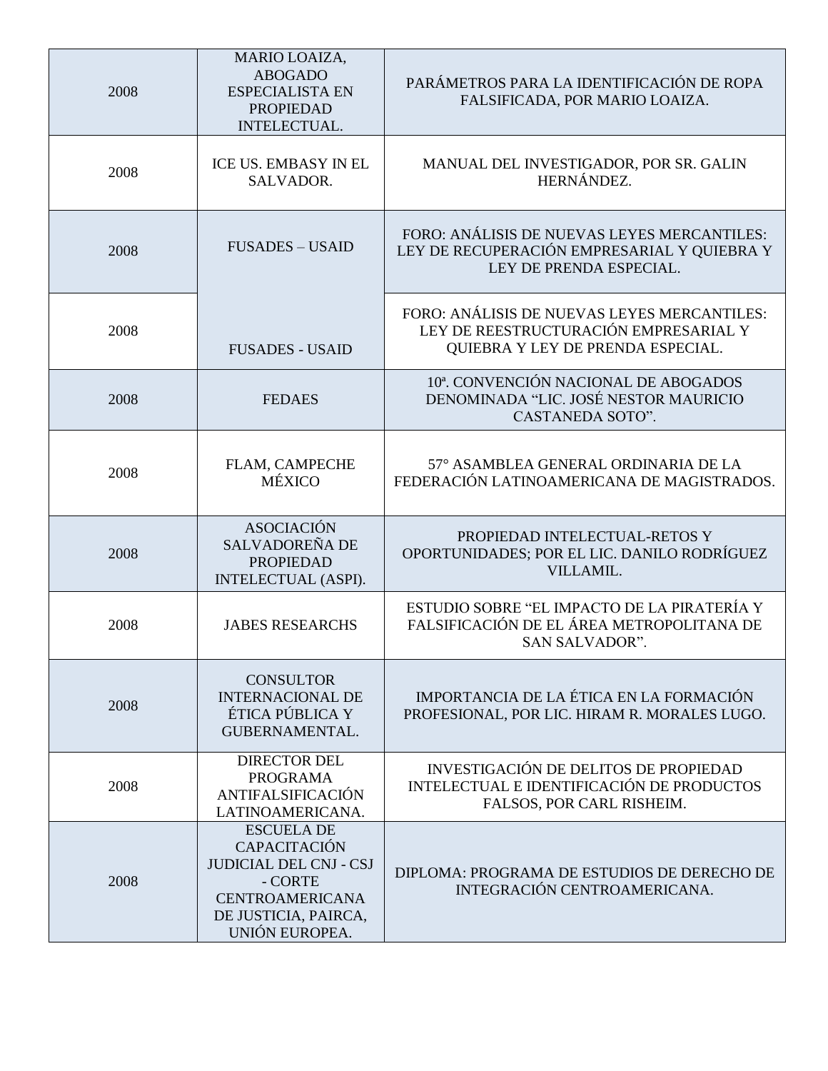| 2008 | MARIO LOAIZA,<br><b>ABOGADO</b><br><b>ESPECIALISTA EN</b><br><b>PROPIEDAD</b><br>INTELECTUAL.                                                     | PARÁMETROS PARA LA IDENTIFICACIÓN DE ROPA<br>FALSIFICADA, POR MARIO LOAIZA.                                               |
|------|---------------------------------------------------------------------------------------------------------------------------------------------------|---------------------------------------------------------------------------------------------------------------------------|
| 2008 | ICE US. EMBASY IN EL<br>SALVADOR.                                                                                                                 | MANUAL DEL INVESTIGADOR, POR SR. GALIN<br>HERNÁNDEZ.                                                                      |
| 2008 | <b>FUSADES - USAID</b>                                                                                                                            | FORO: ANÁLISIS DE NUEVAS LEYES MERCANTILES:<br>LEY DE RECUPERACIÓN EMPRESARIAL Y QUIEBRA Y<br>LEY DE PRENDA ESPECIAL.     |
| 2008 | <b>FUSADES - USAID</b>                                                                                                                            | FORO: ANÁLISIS DE NUEVAS LEYES MERCANTILES:<br>LEY DE REESTRUCTURACIÓN EMPRESARIAL Y<br>QUIEBRA Y LEY DE PRENDA ESPECIAL. |
| 2008 | <b>FEDAES</b>                                                                                                                                     | 10ª. CONVENCIÓN NACIONAL DE ABOGADOS<br>DENOMINADA "LIC. JOSÉ NESTOR MAURICIO<br>CASTANEDA SOTO".                         |
| 2008 | FLAM, CAMPECHE<br><b>MÉXICO</b>                                                                                                                   | 57° ASAMBLEA GENERAL ORDINARIA DE LA<br>FEDERACIÓN LATINOAMERICANA DE MAGISTRADOS.                                        |
| 2008 | <b>ASOCIACIÓN</b><br>SALVADOREÑA DE<br><b>PROPIEDAD</b><br>INTELECTUAL (ASPI).                                                                    | PROPIEDAD INTELECTUAL-RETOS Y<br>OPORTUNIDADES; POR EL LIC. DANILO RODRÍGUEZ<br>VILLAMIL.                                 |
| 2008 | <b>JABES RESEARCHS</b>                                                                                                                            | ESTUDIO SOBRE "EL IMPACTO DE LA PIRATERÍA Y<br>FALSIFICACIÓN DE EL ÁREA METROPOLITANA DE<br>SAN SALVADOR".                |
| 2008 | <b>CONSULTOR</b><br><b>INTERNACIONAL DE</b><br>ÉTICA PÚBLICA Y<br>GUBERNAMENTAL.                                                                  | IMPORTANCIA DE LA ÉTICA EN LA FORMACIÓN<br>PROFESIONAL, POR LIC. HIRAM R. MORALES LUGO.                                   |
| 2008 | <b>DIRECTOR DEL</b><br><b>PROGRAMA</b><br><b>ANTIFALSIFICACIÓN</b><br>LATINOAMERICANA.                                                            | <b>INVESTIGACIÓN DE DELITOS DE PROPIEDAD</b><br>INTELECTUAL E IDENTIFICACIÓN DE PRODUCTOS<br>FALSOS, POR CARL RISHEIM.    |
| 2008 | <b>ESCUELA DE</b><br>CAPACITACIÓN<br><b>JUDICIAL DEL CNJ - CSJ</b><br>- CORTE<br><b>CENTROAMERICANA</b><br>DE JUSTICIA, PAIRCA,<br>UNIÓN EUROPEA. | DIPLOMA: PROGRAMA DE ESTUDIOS DE DERECHO DE<br>INTEGRACIÓN CENTROAMERICANA.                                               |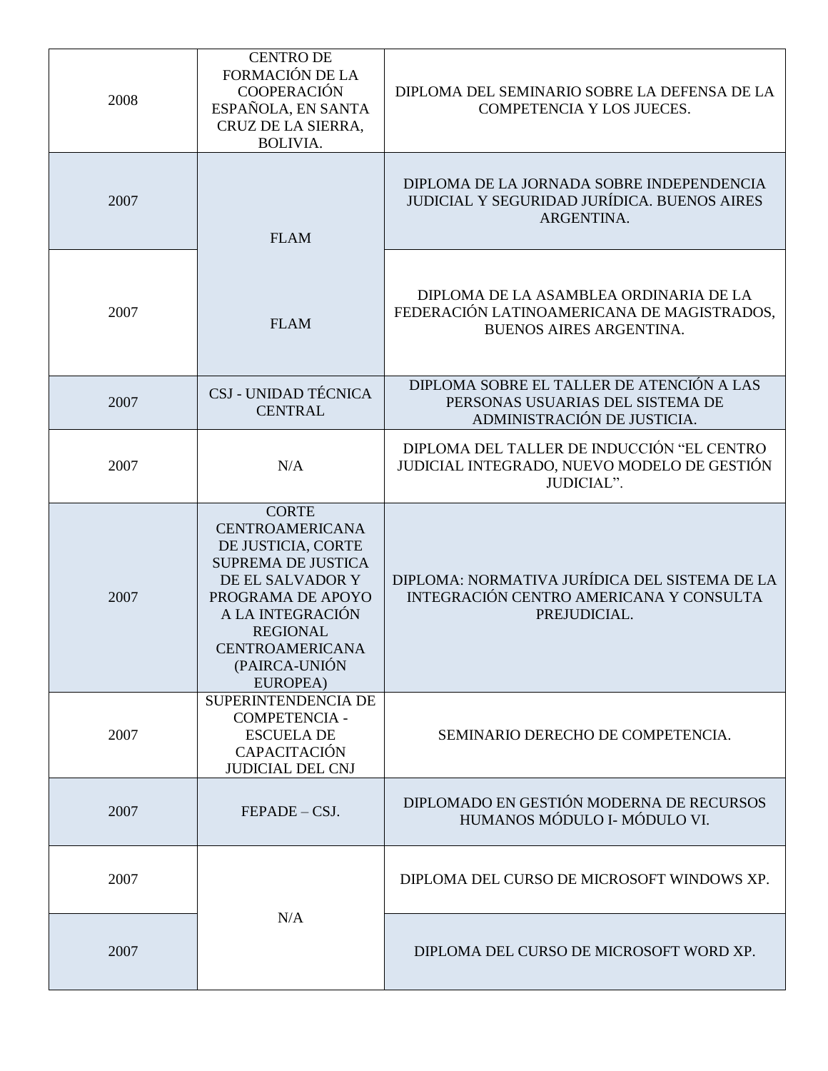| 2008 | <b>CENTRO DE</b><br><b>FORMACIÓN DE LA</b><br><b>COOPERACIÓN</b><br>ESPAÑOLA, EN SANTA<br>CRUZ DE LA SIERRA,<br><b>BOLIVIA.</b>                                                                                                  | DIPLOMA DEL SEMINARIO SOBRE LA DEFENSA DE LA<br>COMPETENCIA Y LOS JUECES.                                              |
|------|----------------------------------------------------------------------------------------------------------------------------------------------------------------------------------------------------------------------------------|------------------------------------------------------------------------------------------------------------------------|
| 2007 | <b>FLAM</b>                                                                                                                                                                                                                      | DIPLOMA DE LA JORNADA SOBRE INDEPENDENCIA<br><b>JUDICIAL Y SEGURIDAD JURÍDICA. BUENOS AIRES</b><br>ARGENTINA.          |
| 2007 | <b>FLAM</b>                                                                                                                                                                                                                      | DIPLOMA DE LA ASAMBLEA ORDINARIA DE LA<br>FEDERACIÓN LATINOAMERICANA DE MAGISTRADOS,<br><b>BUENOS AIRES ARGENTINA.</b> |
| 2007 | CSJ - UNIDAD TÉCNICA<br><b>CENTRAL</b>                                                                                                                                                                                           | DIPLOMA SOBRE EL TALLER DE ATENCIÓN A LAS<br>PERSONAS USUARIAS DEL SISTEMA DE<br>ADMINISTRACIÓN DE JUSTICIA.           |
| 2007 | N/A                                                                                                                                                                                                                              | DIPLOMA DEL TALLER DE INDUCCIÓN "EL CENTRO<br>JUDICIAL INTEGRADO, NUEVO MODELO DE GESTIÓN<br>JUDICIAL".                |
| 2007 | <b>CORTE</b><br><b>CENTROAMERICANA</b><br>DE JUSTICIA, CORTE<br><b>SUPREMA DE JUSTICA</b><br>DE EL SALVADOR Y<br>PROGRAMA DE APOYO<br>A LA INTEGRACIÓN<br><b>REGIONAL</b><br><b>CENTROAMERICANA</b><br>(PAIRCA-UNIÓN<br>EUROPEA) | DIPLOMA: NORMATIVA JURÍDICA DEL SISTEMA DE LA<br>INTEGRACIÓN CENTRO AMERICANA Y CONSULTA<br>PREJUDICIAL.               |
| 2007 | SUPERINTENDENCIA DE<br><b>COMPETENCIA -</b><br><b>ESCUELA DE</b><br>CAPACITACIÓN<br><b>JUDICIAL DEL CNJ</b>                                                                                                                      | SEMINARIO DERECHO DE COMPETENCIA.                                                                                      |
| 2007 | $FEPADE - CSJ.$                                                                                                                                                                                                                  | DIPLOMADO EN GESTIÓN MODERNA DE RECURSOS<br>HUMANOS MÓDULO I- MÓDULO VI.                                               |
| 2007 |                                                                                                                                                                                                                                  | DIPLOMA DEL CURSO DE MICROSOFT WINDOWS XP.                                                                             |
| 2007 | N/A                                                                                                                                                                                                                              | DIPLOMA DEL CURSO DE MICROSOFT WORD XP.                                                                                |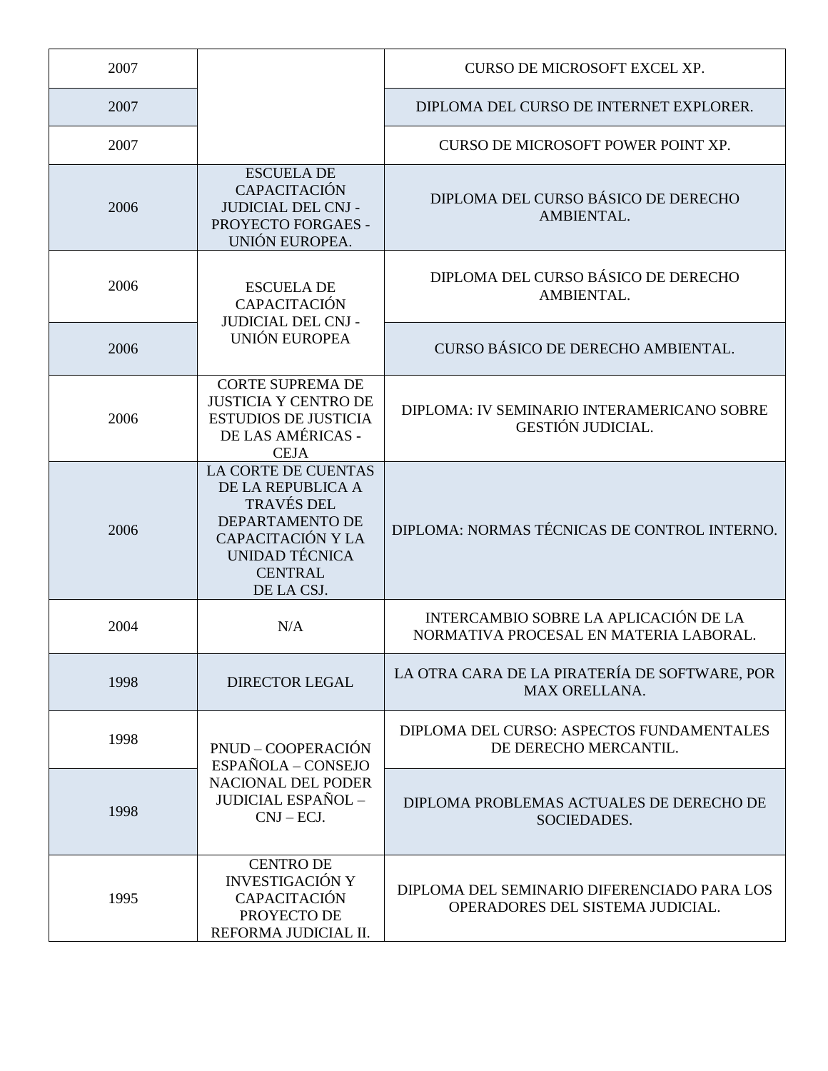| 2007 |                                                                                                                                                                | CURSO DE MICROSOFT EXCEL XP.                                                    |
|------|----------------------------------------------------------------------------------------------------------------------------------------------------------------|---------------------------------------------------------------------------------|
| 2007 |                                                                                                                                                                | DIPLOMA DEL CURSO DE INTERNET EXPLORER.                                         |
| 2007 |                                                                                                                                                                | CURSO DE MICROSOFT POWER POINT XP.                                              |
| 2006 | <b>ESCUELA DE</b><br><b>CAPACITACIÓN</b><br><b>JUDICIAL DEL CNJ -</b><br>PROYECTO FORGAES -<br>UNIÓN EUROPEA.                                                  | DIPLOMA DEL CURSO BÁSICO DE DERECHO<br>AMBIENTAL.                               |
| 2006 | <b>ESCUELA DE</b><br><b>CAPACITACIÓN</b><br><b>JUDICIAL DEL CNJ -</b><br><b>UNIÓN EUROPEA</b>                                                                  | DIPLOMA DEL CURSO BÁSICO DE DERECHO<br>AMBIENTAL.                               |
| 2006 |                                                                                                                                                                | CURSO BÁSICO DE DERECHO AMBIENTAL.                                              |
| 2006 | <b>CORTE SUPREMA DE</b><br><b>JUSTICIA Y CENTRO DE</b><br><b>ESTUDIOS DE JUSTICIA</b><br>DE LAS AMÉRICAS -<br><b>CEJA</b>                                      | DIPLOMA: IV SEMINARIO INTERAMERICANO SOBRE<br><b>GESTIÓN JUDICIAL.</b>          |
| 2006 | <b>LA CORTE DE CUENTAS</b><br>DE LA REPUBLICA A<br><b>TRAVÉS DEL</b><br>DEPARTAMENTO DE<br>CAPACITACIÓN Y LA<br>UNIDAD TÉCNICA<br><b>CENTRAL</b><br>DE LA CSJ. | DIPLOMA: NORMAS TÉCNICAS DE CONTROL INTERNO.                                    |
| 2004 | N/A                                                                                                                                                            | INTERCAMBIO SOBRE LA APLICACIÓN DE LA<br>NORMATIVA PROCESAL EN MATERIA LABORAL. |
| 1998 | <b>DIRECTOR LEGAL</b>                                                                                                                                          | LA OTRA CARA DE LA PIRATERÍA DE SOFTWARE, POR<br><b>MAX ORELLANA.</b>           |
| 1998 | PNUD - COOPERACIÓN<br>ESPAÑOLA - CONSEJO                                                                                                                       | DIPLOMA DEL CURSO: ASPECTOS FUNDAMENTALES<br>DE DERECHO MERCANTIL.              |
| 1998 | NACIONAL DEL PODER<br><b>JUDICIAL ESPAÑOL -</b><br>$CNJ-ECJ.$                                                                                                  | DIPLOMA PROBLEMAS ACTUALES DE DERECHO DE<br>SOCIEDADES.                         |
| 1995 | <b>CENTRO DE</b><br><b>INVESTIGACIÓN Y</b><br><b>CAPACITACIÓN</b><br>PROYECTO DE<br>REFORMA JUDICIAL II.                                                       | DIPLOMA DEL SEMINARIO DIFERENCIADO PARA LOS<br>OPERADORES DEL SISTEMA JUDICIAL. |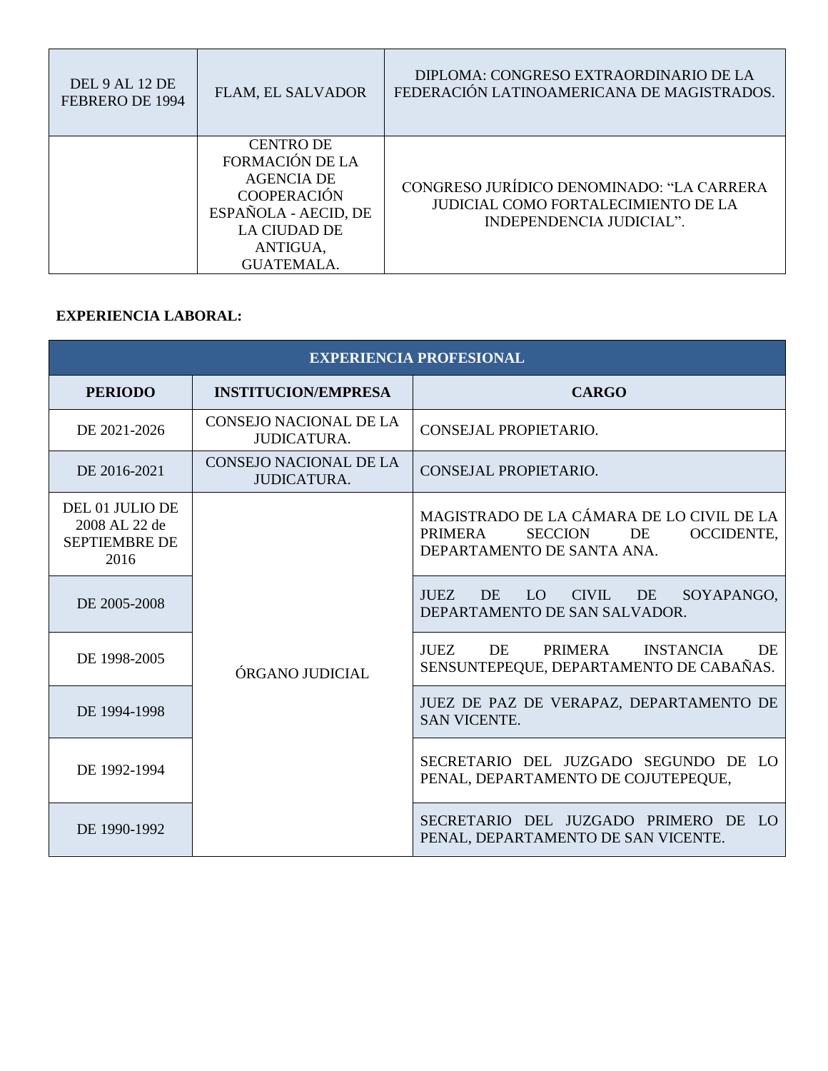| DEL 9 AL 12 DE<br>FEBRERO DE 1994 | <b>FLAM, EL SALVADOR</b>                                                                                                                                              | DIPLOMA: CONGRESO EXTRAORDINARIO DE LA<br>FEDERACIÓN LATINOAMERICANA DE MAGISTRADOS.                                |
|-----------------------------------|-----------------------------------------------------------------------------------------------------------------------------------------------------------------------|---------------------------------------------------------------------------------------------------------------------|
|                                   | <b>CENTRO DE</b><br><b>FORMACIÓN DE LA</b><br><b>AGENCIA DE</b><br><b>COOPERACIÓN</b><br>ESPAÑOLA - AECID, DE<br><b>LA CIUDAD DE</b><br>ANTIGUA,<br><b>GUATEMALA.</b> | CONGRESO JURÍDICO DENOMINADO: "LA CARRERA<br><b>JUDICIAL COMO FORTALECIMIENTO DE LA</b><br>INDEPENDENCIA JUDICIAL". |

#### **EXPERIENCIA LABORAL:**

| <b>EXPERIENCIA PROFESIONAL</b>                                   |                                                     |                                                                                                                       |
|------------------------------------------------------------------|-----------------------------------------------------|-----------------------------------------------------------------------------------------------------------------------|
| <b>PERIODO</b>                                                   | <b>INSTITUCION/EMPRESA</b>                          | <b>CARGO</b>                                                                                                          |
| DE 2021-2026                                                     | <b>CONSEJO NACIONAL DE LA</b><br><b>JUDICATURA.</b> | CONSEJAL PROPIETARIO.                                                                                                 |
| DE 2016-2021                                                     | <b>CONSEJO NACIONAL DE LA</b><br><b>JUDICATURA.</b> | CONSEJAL PROPIETARIO.                                                                                                 |
| DEL 01 JULIO DE<br>2008 AL 22 de<br><b>SEPTIEMBRE DE</b><br>2016 | ÓRGANO JUDICIAL                                     | MAGISTRADO DE LA CÁMARA DE LO CIVIL DE LA<br>PRIMERA<br>SECCION DE<br><b>OCCIDENTE,</b><br>DEPARTAMENTO DE SANTA ANA. |
| DE 2005-2008                                                     |                                                     | DE LO CIVIL DE<br><b>JUEZ</b><br>SOYAPANGO,<br>DEPARTAMENTO DE SAN SALVADOR.                                          |
| DE 1998-2005                                                     |                                                     | JUEZ DE<br>PRIMERA INSTANCIA<br><b>DE</b><br>SENSUNTEPEQUE, DEPARTAMENTO DE CABAÑAS.                                  |
| DE 1994-1998                                                     |                                                     | JUEZ DE PAZ DE VERAPAZ, DEPARTAMENTO DE<br><b>SAN VICENTE.</b>                                                        |
| DE 1992-1994                                                     |                                                     | SECRETARIO DEL JUZGADO SEGUNDO DE LO<br>PENAL, DEPARTAMENTO DE COJUTEPEQUE,                                           |
| DE 1990-1992                                                     |                                                     | SECRETARIO DEL JUZGADO PRIMERO DE LO<br>PENAL, DEPARTAMENTO DE SAN VICENTE.                                           |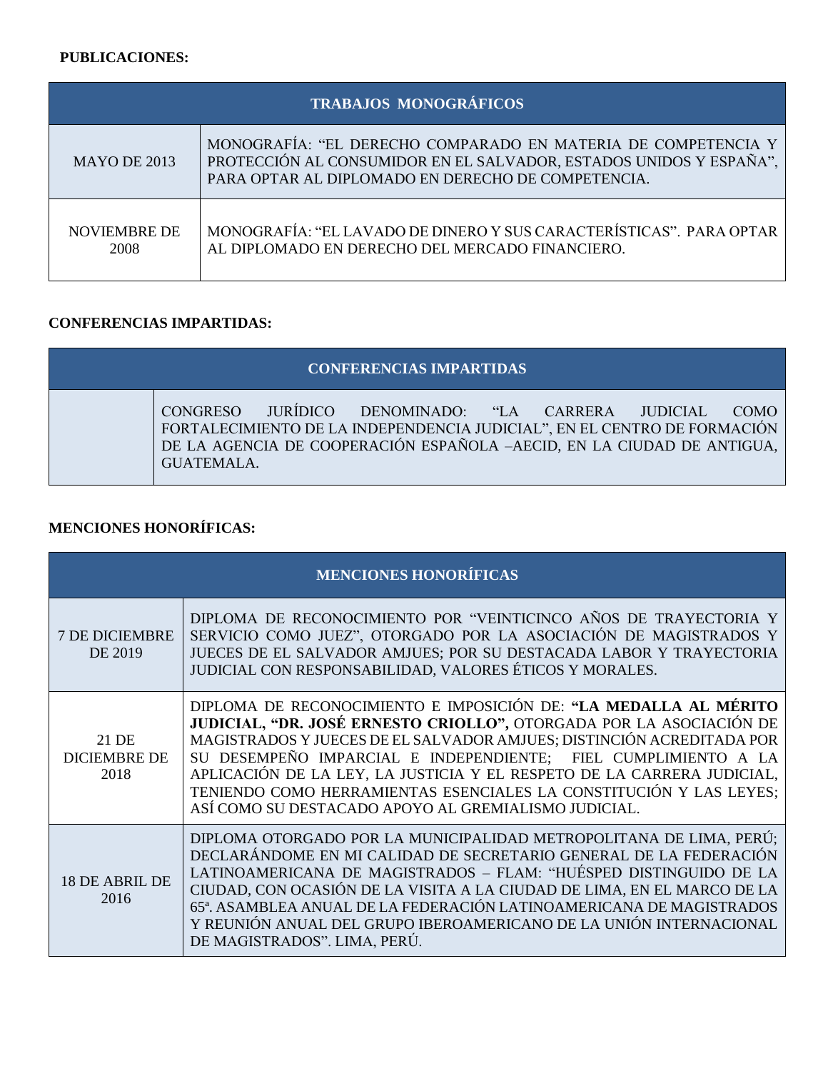## **PUBLICACIONES:**

| TRABAJOS MONOGRÁFICOS       |                                                                                                                                                                                           |  |
|-----------------------------|-------------------------------------------------------------------------------------------------------------------------------------------------------------------------------------------|--|
| MAYO DE 2013                | MONOGRAFÍA: "EL DERECHO COMPARADO EN MATERIA DE COMPETENCIA Y<br>PROTECCIÓN AL CONSUMIDOR EN EL SALVADOR, ESTADOS UNIDOS Y ESPAÑA",<br>PARA OPTAR AL DIPLOMADO EN DERECHO DE COMPETENCIA. |  |
| <b>NOVIEMBRE DE</b><br>2008 | MONOGRAFÍA: "EL LAVADO DE DINERO Y SUS CARACTERÍSTICAS". PARA OPTAR<br>AL DIPLOMADO EN DERECHO DEL MERCADO FINANCIERO.                                                                    |  |

## **CONFERENCIAS IMPARTIDAS:**

| <b>CONFERENCIAS IMPARTIDAS</b>                                                                                                                                                                                                           |
|------------------------------------------------------------------------------------------------------------------------------------------------------------------------------------------------------------------------------------------|
| <b>CONGRESO</b><br>JURÍDICO DENOMINADO: "LA CARRERA JUDICIAL<br>COMO<br>FORTALECIMIENTO DE LA INDEPENDENCIA JUDICIAL", EN EL CENTRO DE FORMACIÓN<br>DE LA AGENCIA DE COOPERACIÓN ESPAÑOLA –AECID, EN LA CIUDAD DE ANTIGUA,<br>GUATEMALA. |

# **MENCIONES HONORÍFICAS:**

| <b>MENCIONES HONORÍFICAS</b>         |                                                                                                                                                                                                                                                                                                                                                                                                                                                                                            |
|--------------------------------------|--------------------------------------------------------------------------------------------------------------------------------------------------------------------------------------------------------------------------------------------------------------------------------------------------------------------------------------------------------------------------------------------------------------------------------------------------------------------------------------------|
| <b>7 DE DICIEMBRE</b><br>DE 2019     | DIPLOMA DE RECONOCIMIENTO POR "VEINTICINCO AÑOS DE TRAYECTORIA Y<br>SERVICIO COMO JUEZ", OTORGADO POR LA ASOCIACIÓN DE MAGISTRADOS Y<br>JUECES DE EL SALVADOR AMJUES; POR SU DESTACADA LABOR Y TRAYECTORIA<br>JUDICIAL CON RESPONSABILIDAD, VALORES ÉTICOS Y MORALES.                                                                                                                                                                                                                      |
| 21 DE<br><b>DICIEMBRE DE</b><br>2018 | DIPLOMA DE RECONOCIMIENTO E IMPOSICIÓN DE: "LA MEDALLA AL MÉRITO<br>JUDICIAL, "DR. JOSÉ ERNESTO CRIOLLO", OTORGADA POR LA ASOCIACIÓN DE<br>MAGISTRADOS Y JUECES DE EL SALVADOR AMJUES; DISTINCIÓN ACREDITADA POR<br>SU DESEMPEÑO IMPARCIAL E INDEPENDIENTE; FIEL CUMPLIMIENTO A LA<br>APLICACIÓN DE LA LEY, LA JUSTICIA Y EL RESPETO DE LA CARRERA JUDICIAL,<br>TENIENDO COMO HERRAMIENTAS ESENCIALES LA CONSTITUCIÓN Y LAS LEYES;<br>ASÍ COMO SU DESTACADO APOYO AL GREMIALISMO JUDICIAL. |
| 18 DE ABRIL DE<br>2016               | DIPLOMA OTORGADO POR LA MUNICIPALIDAD METROPOLITANA DE LIMA, PERÚ;<br>DECLARÁNDOME EN MI CALIDAD DE SECRETARIO GENERAL DE LA FEDERACIÓN<br>LATINOAMERICANA DE MAGISTRADOS - FLAM: "HUÉSPED DISTINGUIDO DE LA<br>CIUDAD, CON OCASIÓN DE LA VISITA A LA CIUDAD DE LIMA, EN EL MARCO DE LA<br>65ª. ASAMBLEA ANUAL DE LA FEDERACIÓN LATINOAMERICANA DE MAGISTRADOS<br>Y REUNIÓN ANUAL DEL GRUPO IBEROAMERICANO DE LA UNIÓN INTERNACIONAL<br>DE MAGISTRADOS". LIMA, PERÚ.                       |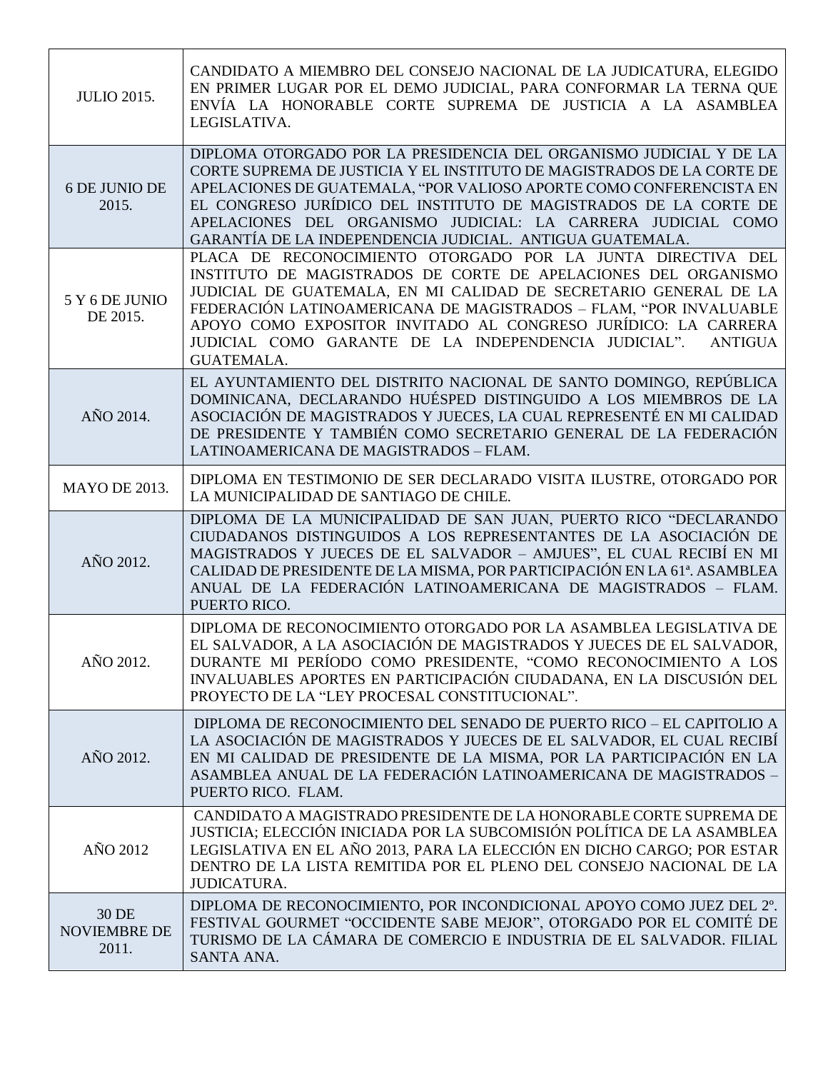| <b>JULIO 2015.</b>                    | CANDIDATO A MIEMBRO DEL CONSEJO NACIONAL DE LA JUDICATURA, ELEGIDO<br>EN PRIMER LUGAR POR EL DEMO JUDICIAL, PARA CONFORMAR LA TERNA QUE<br>ENVÍA LA HONORABLE CORTE SUPREMA DE JUSTICIA A LA ASAMBLEA<br>LEGISLATIVA.                                                                                                                                                                                                                   |
|---------------------------------------|-----------------------------------------------------------------------------------------------------------------------------------------------------------------------------------------------------------------------------------------------------------------------------------------------------------------------------------------------------------------------------------------------------------------------------------------|
| 6 DE JUNIO DE<br>2015.                | DIPLOMA OTORGADO POR LA PRESIDENCIA DEL ORGANISMO JUDICIAL Y DE LA<br>CORTE SUPREMA DE JUSTICIA Y EL INSTITUTO DE MAGISTRADOS DE LA CORTE DE<br>APELACIONES DE GUATEMALA, "POR VALIOSO APORTE COMO CONFERENCISTA EN<br>EL CONGRESO JURÍDICO DEL INSTITUTO DE MAGISTRADOS DE LA CORTE DE<br>APELACIONES DEL ORGANISMO JUDICIAL: LA CARRERA JUDICIAL COMO<br>GARANTÍA DE LA INDEPENDENCIA JUDICIAL. ANTIGUA GUATEMALA.                    |
| 5 Y 6 DE JUNIO<br>DE 2015.            | PLACA DE RECONOCIMIENTO OTORGADO POR LA JUNTA DIRECTIVA DEL<br>INSTITUTO DE MAGISTRADOS DE CORTE DE APELACIONES DEL ORGANISMO<br>JUDICIAL DE GUATEMALA, EN MI CALIDAD DE SECRETARIO GENERAL DE LA<br>FEDERACIÓN LATINOAMERICANA DE MAGISTRADOS - FLAM, "POR INVALUABLE<br>APOYO COMO EXPOSITOR INVITADO AL CONGRESO JURÍDICO: LA CARRERA<br>JUDICIAL COMO GARANTE DE LA INDEPENDENCIA JUDICIAL".<br><b>ANTIGUA</b><br><b>GUATEMALA.</b> |
| AÑO 2014.                             | EL AYUNTAMIENTO DEL DISTRITO NACIONAL DE SANTO DOMINGO, REPÚBLICA<br>DOMINICANA, DECLARANDO HUÉSPED DISTINGUIDO A LOS MIEMBROS DE LA<br>ASOCIACIÓN DE MAGISTRADOS Y JUECES, LA CUAL REPRESENTÉ EN MI CALIDAD<br>DE PRESIDENTE Y TAMBIÉN COMO SECRETARIO GENERAL DE LA FEDERACIÓN<br>LATINOAMERICANA DE MAGISTRADOS - FLAM.                                                                                                              |
| <b>MAYO DE 2013.</b>                  | DIPLOMA EN TESTIMONIO DE SER DECLARADO VISITA ILUSTRE, OTORGADO POR<br>LA MUNICIPALIDAD DE SANTIAGO DE CHILE.                                                                                                                                                                                                                                                                                                                           |
| AÑO 2012.                             | DIPLOMA DE LA MUNICIPALIDAD DE SAN JUAN, PUERTO RICO "DECLARANDO<br>CIUDADANOS DISTINGUIDOS A LOS REPRESENTANTES DE LA ASOCIACIÓN DE<br>MAGISTRADOS Y JUECES DE EL SALVADOR - AMJUES", EL CUAL RECIBÍ EN MI<br>CALIDAD DE PRESIDENTE DE LA MISMA, POR PARTICIPACIÓN EN LA 61ª. ASAMBLEA<br>ANUAL DE LA FEDERACIÓN LATINOAMERICANA DE MAGISTRADOS - FLAM.<br>PUERTO RICO.                                                                |
| AÑO 2012.                             | DIPLOMA DE RECONOCIMIENTO OTORGADO POR LA ASAMBLEA LEGISLATIVA DE<br>EL SALVADOR, A LA ASOCIACIÓN DE MAGISTRADOS Y JUECES DE EL SALVADOR,<br>DURANTE MI PERÍODO COMO PRESIDENTE, "COMO RECONOCIMIENTO A LOS<br>INVALUABLES APORTES EN PARTICIPACIÓN CIUDADANA, EN LA DISCUSIÓN DEL<br>PROYECTO DE LA "LEY PROCESAL CONSTITUCIONAL".                                                                                                     |
| AÑO 2012.                             | DIPLOMA DE RECONOCIMIENTO DEL SENADO DE PUERTO RICO - EL CAPITOLIO A<br>LA ASOCIACIÓN DE MAGISTRADOS Y JUECES DE EL SALVADOR, EL CUAL RECIBÍ<br>EN MI CALIDAD DE PRESIDENTE DE LA MISMA, POR LA PARTICIPACIÓN EN LA<br>ASAMBLEA ANUAL DE LA FEDERACIÓN LATINOAMERICANA DE MAGISTRADOS -<br>PUERTO RICO. FLAM.                                                                                                                           |
| AÑO 2012                              | CANDIDATO A MAGISTRADO PRESIDENTE DE LA HONORABLE CORTE SUPREMA DE<br>JUSTICIA; ELECCIÓN INICIADA POR LA SUBCOMISIÓN POLÍTICA DE LA ASAMBLEA<br>LEGISLATIVA EN EL AÑO 2013, PARA LA ELECCIÓN EN DICHO CARGO; POR ESTAR<br>DENTRO DE LA LISTA REMITIDA POR EL PLENO DEL CONSEJO NACIONAL DE LA<br>JUDICATURA.                                                                                                                            |
| 30 DE<br><b>NOVIEMBRE DE</b><br>2011. | DIPLOMA DE RECONOCIMIENTO, POR INCONDICIONAL APOYO COMO JUEZ DEL 2°.<br>FESTIVAL GOURMET "OCCIDENTE SABE MEJOR", OTORGADO POR EL COMITÉ DE<br>TURISMO DE LA CÁMARA DE COMERCIO E INDUSTRIA DE EL SALVADOR. FILIAL<br>SANTA ANA.                                                                                                                                                                                                         |